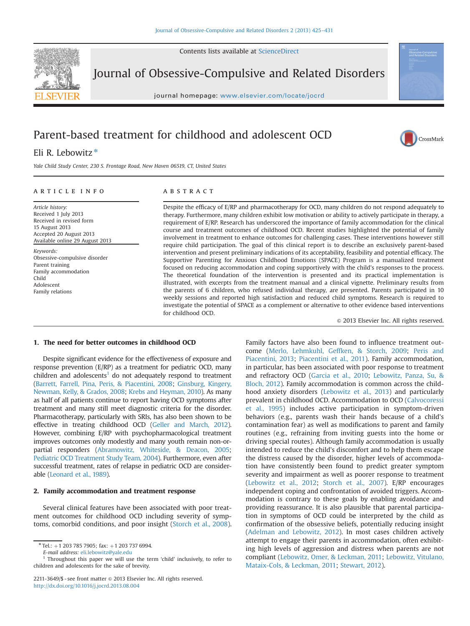Contents lists available at [ScienceDirect](www.sciencedirect.com/science/journal/22113649)



Journal of Obsessive-Compulsive and Related Disorders

journal homepage: <www.elsevier.com/locate/jocrd>

# Parent-based treatment for childhood and adolescent OCD



## Eli R. Lebowitz  $*$

Yale Child Study Center, 230 S. Frontage Road, New Haven 06519, CT, United States

## article info

Article history: Received 1 July 2013 Received in revised form 15 August 2013 Accepted 20 August 2013 Available online 29 August 2013

Keywords: Obsessive-compulsive disorder Parent training Family accommodation Child Adolescent Family relations

## **ABSTRACT**

Despite the efficacy of E/RP and pharmacotherapy for OCD, many children do not respond adequately to therapy. Furthermore, many children exhibit low motivation or ability to actively participate in therapy, a requirement of E/RP. Research has underscored the importance of family accommodation for the clinical course and treatment outcomes of childhood OCD. Recent studies highlighted the potential of family involvement in treatment to enhance outcomes for challenging cases. These interventions however still require child participation. The goal of this clinical report is to describe an exclusively parent-based intervention and present preliminary indications of its acceptability, feasibility and potential efficacy. The Supportive Parenting for Anxious Childhood Emotions (SPACE) Program is a manualized treatment focused on reducing accommodation and coping supportively with the child's responses to the process. The theoretical foundation of the intervention is presented and its practical implementation is illustrated, with excerpts from the treatment manual and a clinical vignette. Preliminary results from the parents of 6 children, who refused individual therapy, are presented. Parents participated in 10 weekly sessions and reported high satisfaction and reduced child symptoms. Research is required to investigate the potential of SPACE as a complement or alternative to other evidence based interventions for childhood OCD.

 $\odot$  2013 Elsevier Inc. All rights reserved.

## 1. The need for better outcomes in childhood OCD

Despite significant evidence for the effectiveness of exposure and response prevention (E/RP) as a treatment for pediatric OCD, many children and adolescents<sup>1</sup> do not adequately respond to treatment [\(Barrett, Farrell, Pina, Peris, & Piacentini, 2008;](#page-6-0) [Ginsburg, Kingery,](#page-6-0) [Newman, Kelly, & Grados, 2008](#page-6-0); [Krebs and Heyman, 2010\)](#page-6-0). As many as half of all patients continue to report having OCD symptoms after treatment and many still meet diagnostic criteria for the disorder. Pharmacotherapy, particularly with SRIs, has also been shown to be effective in treating childhood OCD [\(Geller and March, 2012\)](#page-6-0). However, combining E/RP with psychopharmacological treatment improves outcomes only modestly and many youth remain non-orpartial responders ([Abramowitz, Whiteside,](#page-6-0) [& Deacon, 2005;](#page-6-0) [Pediatric OCD Treatment Study Team, 2004](#page-6-0)). Furthermore, even after successful treatment, rates of relapse in pediatric OCD are considerable [\(Leonard et al., 1989\)](#page-6-0).

## 2. Family accommodation and treatment response

Several clinical features have been associated with poor treatment outcomes for childhood OCD including severity of symptoms, comorbid conditions, and poor insight [\(Storch et al., 2008\)](#page-6-0).

E-mail address: [eli.lebowitz@yale.edu](mailto:eli.lebowitz@yale.edu)

Family factors have also been found to influence treatment outcome ([Merlo, Lehmkuhl, Geffken,](#page-6-0) [& Storch, 2009;](#page-6-0) [Peris and](#page-6-0) [Piacentini, 2013;](#page-6-0) [Piacentini et al., 2011\)](#page-6-0). Family accommodation, in particular, has been associated with poor response to treatment and refractory OCD ([Garcia et al., 2010;](#page-6-0) [Lebowitz, Panza, Su, &](#page-6-0) [Bloch, 2012](#page-6-0)). Family accommodation is common across the childhood anxiety disorders ([Lebowitz et al., 2013](#page-6-0)) and particularly prevalent in childhood OCD. Accommodation to OCD [\(Calvocoressi](#page-6-0) [et al., 1995](#page-6-0)) includes active participation in symptom-driven behaviors (e.g., parents wash their hands because of a child's contamination fear) as well as modifications to parent and family routines (e.g., refraining from inviting guests into the home or driving special routes). Although family accommodation is usually intended to reduce the child's discomfort and to help them escape the distress caused by the disorder, higher levels of accommodation have consistently been found to predict greater symptom severity and impairment as well as poorer response to treatment ([Lebowitz et al., 2012](#page-6-0); [Storch et al., 2007\)](#page-6-0). E/RP encourages independent coping and confrontation of avoided triggers. Accommodation is contrary to these goals by enabling avoidance and providing reassurance. It is also plausible that parental participation in symptoms of OCD could be interpreted by the child as confirmation of the obsessive beliefs, potentially reducing insight ([Adelman and Lebowitz, 2012\)](#page-6-0). In most cases children actively attempt to engage their parents in accommodation, often exhibiting high levels of aggression and distress when parents are not compliant [\(Lebowitz, Omer, & Leckman, 2011](#page-6-0); [Lebowitz, Vitulano,](#page-6-0) [Mataix-Cols,](#page-6-0) [& Leckman, 2011;](#page-6-0) [Stewart, 2012\)](#page-6-0).

 $*$  Tel.: +1 203 785 7905; fax: +1 203 737 6994.

<sup>&</sup>lt;sup>1</sup> Throughout this paper we will use the term 'child' inclusively, to refer to children and adolescents for the sake of brevity.

<sup>2211-3649/\$ -</sup> see front matter @ 2013 Elsevier Inc. All rights reserved. <http://dx.doi.org/10.1016/j.jocrd.2013.08.004>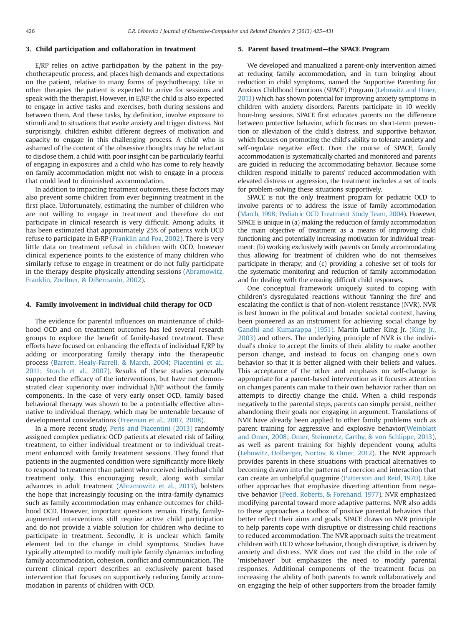#### 3. Child participation and collaboration in treatment

E/RP relies on active participation by the patient in the psychotherapeutic process, and places high demands and expectations on the patient, relative to many forms of psychotherapy. Like in other therapies the patient is expected to arrive for sessions and speak with the therapist. However, in E/RP the child is also expected to engage in active tasks and exercises, both during sessions and between them. And these tasks, by definition, involve exposure to stimuli and to situations that evoke anxiety and trigger distress. Not surprisingly, children exhibit different degrees of motivation and capacity to engage in this challenging process. A child who is ashamed of the content of the obsessive thoughts may be reluctant to disclose them, a child with poor insight can be particularly fearful of engaging in exposures and a child who has come to rely heavily on family accommodation might not wish to engage in a process that could lead to diminished accommodation.

In addition to impacting treatment outcomes, these factors may also prevent some children from ever beginning treatment in the first place. Unfortunately, estimating the number of children who are not willing to engage in treatment and therefore do not participate in clinical research is very difficult. Among adults, it has been estimated that approximately 25% of patients with OCD refuse to participate in E/RP ([Franklin and Foa, 2002](#page-6-0)). There is very little data on treatment refusal in children with OCD, however clinical experience points to the existence of many children who similarly refuse to engage in treatment or do not fully participate in the therapy despite physically attending sessions [\(Abramowitz,](#page-6-0) [Franklin, Zoellner, & DiBernardo, 2002](#page-6-0)).

## 4. Family involvement in individual child therapy for OCD

The evidence for parental influences on maintenance of childhood OCD and on treatment outcomes has led several research groups to explore the benefit of family-based treatment. These efforts have focused on enhancing the effects of individual E/RP by adding or incorporating family therapy into the therapeutic process [\(Barrett, Healy-Farrell, & March, 2004;](#page-6-0) [Piacentini et al.,](#page-6-0) [2011;](#page-6-0) [Storch et al., 2007\)](#page-6-0). Results of these studies generally supported the efficacy of the interventions, but have not demonstrated clear superiority over individual E/RP without the family components. In the case of very early onset OCD, family based behavioral therapy was shown to be a potentially effective alternative to individual therapy, which may be untenable because of developmental considerations ([Freeman et al., 2007,](#page-6-0) [2008\)](#page-6-0).

In a more recent study, [Peris and Piacentini \(2013\)](#page-6-0) randomly assigned complex pediatric OCD patients at elevated risk of failing treatment, to either individual treatment or to individual treatment enhanced with family treatment sessions. They found that patients in the augmented condition were significantly more likely to respond to treatment than patient who received individual child treatment only. This encouraging result, along with similar advances in adult treatment ([Abramowitz et al., 2013](#page-5-0)), bolsters the hope that increasingly focusing on the intra-family dynamics such as family accommodation may enhance outcomes for childhood OCD. However, important questions remain. Firstly, familyaugmented interventions still require active child participation and do not provide a viable solution for children who decline to participate in treatment. Secondly, it is unclear which family element led to the change in child symptoms. Studies have typically attempted to modify multiple family dynamics including family accommodation, cohesion, conflict and communication. The current clinical report describes an exclusively parent based intervention that focuses on supportively reducing family accommodation in parents of children with OCD.

#### 5. Parent based treatment—the SPACE Program

We developed and manualized a parent-only intervention aimed at reducing family accommodation, and in turn bringing about reduction in child symptoms, named the Supportive Parenting for Anxious Childhood Emotions (SPACE) Program ([Lebowitz and Omer,](#page-6-0) [2013](#page-6-0)) which has shown potential for improving anxiety symptoms in children with anxiety disorders. Parents participate in 10 weekly hour-long sessions. SPACE first educates parents on the difference between protective behavior, which focuses on short-term prevention or alleviation of the child's distress, and supportive behavior, which focuses on promoting the child's ability to tolerate anxiety and self-regulate negative effect. Over the course of SPACE, family accommodation is systematically charted and monitored and parents are guided in reducing the accommodating behavior. Because some children respond initially to parents' reduced accommodation with elevated distress or aggression, the treatment includes a set of tools for problem-solving these situations supportively.

SPACE is not the only treatment program for pediatric OCD to involve parents or to address the issue of family accommodation [\(March, 1998;](#page-6-0) [Pediatric OCD Treatment Study Team, 2004\)](#page-6-0). However, SPACE is unique in (a) making the reduction of family accommodation the main objective of treatment as a means of improving child functioning and potentially increasing motivation for individual treatment; (b) working exclusively with parents on family accommodating thus allowing for treatment of children who do not themselves participate in therapy; and (c) providing a cohesive set of tools for the systematic monitoring and reduction of family accommodation and for dealing with the ensuing difficult child responses.

One conceptual framework uniquely suited to coping with children's dysregulated reactions without 'fanning the fire' and escalating the conflict is that of non-violent resistance (NVR). NVR is best known in the political and broader societal context, having been pioneered as an instrument for achieving social change by [Gandhi and Kumarappa \(1951\),](#page-6-0) Martin Luther King Jr. [\(King Jr.,](#page-6-0) [2003\)](#page-6-0) and others. The underlying principle of NVR is the individual's choice to accept the limits of their ability to make another person change, and instead to focus on changing one's own behavior so that it is better aligned with their beliefs and values. This acceptance of the other and emphasis on self-change is appropriate for a parent-based intervention as it focuses attention on changes parents can make to their own behavior rather than on attempts to directly change the child. When a child responds negatively to the parental steps, parents can simply persist, neither abandoning their goals nor engaging in argument. Translations of NVR have already been applied to other family problems such as parent training for aggressive and explosive behavior[\(Weinblatt](#page-6-0) [and Omer, 2008;](#page-6-0) [Omer, Steinmetz, Carthy, & von Schlippe, 2013\)](#page-6-0), as well as parent training for highly dependent young adults ([Lebowitz, Dolberger, Nortov, & Omer, 2012\)](#page-6-0). The NVR approach provides parents in these situations with practical alternatives to becoming drawn into the patterns of coercion and interaction that can create an unhelpful quagmire ([Patterson and Reid, 1970\)](#page-6-0). Like other approaches that emphasize diverting attention from negative behavior ([Peed, Roberts, & Forehand, 1977](#page-6-0)), NVR emphasized modifying parental toward more adaptive patterns. NVR also adds to these approaches a toolbox of positive parental behaviors that better reflect their aims and goals. SPACE draws on NVR principle to help parents cope with disruptive or distressing child reactions to reduced accommodation. The NVR approach suits the treatment children with OCD whose behavior, though disruptive, is driven by anxiety and distress. NVR does not cast the child in the role of 'misbehaver' but emphasizes the need to modify parental responses. Additional components of the treatment focus on increasing the ability of both parents to work collaboratively and on engaging the help of other supporters from the broader family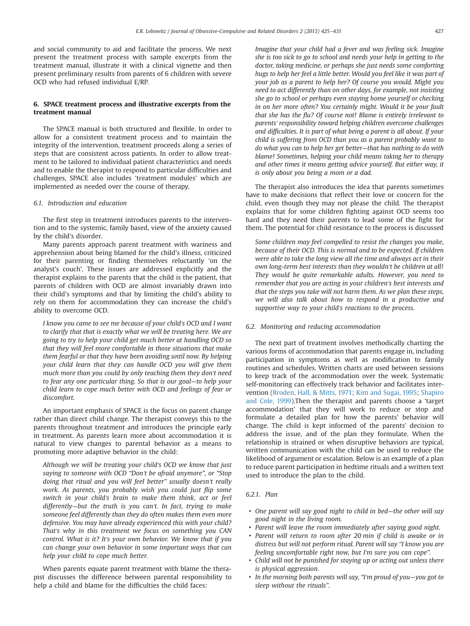and social community to aid and facilitate the process. We next present the treatment process with sample excerpts from the treatment manual, illustrate it with a clinical vignette and then present preliminary results from parents of 6 children with severe OCD who had refused individual E/RP.

## 6. SPACE treatment process and illustrative excerpts from the treatment manual

The SPACE manual is both structured and flexible. In order to allow for a consistent treatment process and to maintain the integrity of the intervention, treatment proceeds along a series of steps that are consistent across patients. In order to allow treatment to be tailored to individual patient characteristics and needs and to enable the therapist to respond to particular difficulties and challenges, SPACE also includes 'treatment modules' which are implemented as needed over the course of therapy.

## 6.1. Introduction and education

The first step in treatment introduces parents to the intervention and to the systemic, family based, view of the anxiety caused by the child's disorder.

Many parents approach parent treatment with wariness and apprehension about being blamed for the child's illness, criticized for their parenting or finding themselves reluctantly 'on the analyst's couch'. These issues are addressed explicitly and the therapist explains to the parents that the child is the patient, that parents of children with OCD are almost invariably drawn into their child's symptoms and that by limiting the child's ability to rely on them for accommodation they can increase the child's ability to overcome OCD.

I know you came to see me because of your child's OCD and I want to clarify that that is exactly what we will be treating here. We are going to try to help your child get much better at handling OCD so that they will feel more comfortable in those situations that make them fearful or that they have been avoiding until now. By helping your child learn that they can handle OCD you will give them much more than you could by only teaching them they don't need to fear any one particular thing. So that is our goal—to help your child learn to cope much better with OCD and feelings of fear or discomfort.

An important emphasis of SPACE is the focus on parent change rather than direct child change. The therapist conveys this to the parents throughout treatment and introduces the principle early in treatment. As parents learn more about accommodation it is natural to view changes to parental behavior as a means to promoting more adaptive behavior in the child:

Although we will be treating your child's OCD we know that just saying to someone with OCD "Don't be afraid anymore", or "Stop doing that ritual and you will feel better" usually doesn't really work. As parents, you probably wish you could just flip some switch in your child's brain to make them think, act or feel differently—but the truth is you can't. In fact, trying to make someone feel differently than they do often makes them even more defensive. You may have already experienced this with your child? That's why in this treatment we focus on something you CAN control. What is it? It's your own behavior. We know that if you can change your own behavior in some important ways that can help your child to cope much better.

When parents equate parent treatment with blame the therapist discusses the difference between parental responsibility to help a child and blame for the difficulties the child faces:

Imagine that your child had a fever and was feeling sick. Imagine she is too sick to go to school and needs your help in getting to the doctor, taking medicine, or perhaps she just needs some comforting hugs to help her feel a little better. Would you feel like it was part of your job as a parent to help her? Of course you would. Might you need to act differently than on other days, for example, not insisting she go to school or perhaps even staying home yourself or checking in on her more often? You certainly might. Would it be your fault that she has the flu? Of course not! Blame is entirely irrelevant to parents' responsibility toward helping children overcome challenges and difficulties. It is part of what being a parent is all about. If your child is suffering from OCD than you as a parent probably want to do what you can to help her get better—that has nothing to do with blame! Sometimes, helping your child means taking her to therapy and other times it means getting advice yourself. But either way, it is only about you being a mom or a dad.

The therapist also introduces the idea that parents sometimes have to make decisions that reflect their love or concern for the child, even though they may not please the child. The therapist explains that for some children fighting against OCD seems too hard and they need their parents to lead some of the fight for them. The potential for child resistance to the process is discussed

Some children may feel compelled to resist the changes you make, because of their OCD. This is normal and to be expected. If children were able to take the long view all the time and always act in their own long-term best interests than they wouldn't be children at all! They would be quite remarkable adults. However, you need to remember that you are acting in your children's best interests and that the steps you take will not harm them. As we plan these steps, we will also talk about how to respond in a productive and supportive way to your child's reactions to the process.

#### 6.2. Monitoring and reducing accommodation

The next part of treatment involves methodically charting the various forms of accommodation that parents engage in, including participation in symptoms as well as modification to family routines and schedules. Written charts are used between sessions to keep track of the accommodation over the week. Systematic self-monitoring can effectively track behavior and facilitates intervention ([Broden, Hall, & Mitts, 1971](#page-6-0); [Kim and Sugai, 1995](#page-6-0); [Shapiro](#page-6-0) [and Cole, 1999](#page-6-0)).Then the therapist and parents choose a 'target accommodation' that they will work to reduce or stop and formulate a detailed plan for how the parents' behavior will change. The child is kept informed of the parents' decision to address the issue, and of the plan they formulate. When the relationship is strained or when disruptive behaviors are typical, written communication with the child can be used to reduce the likelihood of argument or escalation. Below is an example of a plan to reduce parent participation in bedtime rituals and a written text used to introduce the plan to the child.

## 6.2.1. Plan

- One parent will say good night to child in bed—the other will say good night in the living room.
- Parent will leave the room immediately after saying good night.
- Parent will return to room after 20 min if child is awake or in distress but will not perform ritual. Parent will say "I know you are feeling uncomfortable right now, but I'm sure you can cope".
- Child will not be punished for staying up or acting out unless there is physical aggression.
- In the morning both parents will say, "I'm proud of you—you got to sleep without the rituals".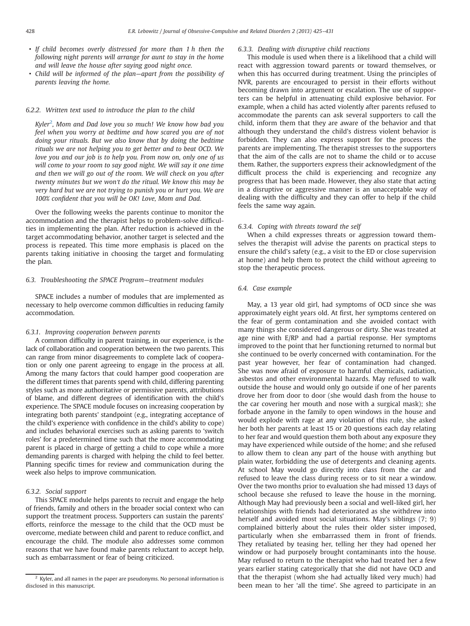- If child becomes overly distressed for more than 1 h then the following night parents will arrange for aunt to stay in the home and will leave the house after saying good night once.
- Child will be informed of the plan—apart from the possibility of parents leaving the home.

#### 6.2.2. Written text used to introduce the plan to the child

Kyler<sup>2</sup>, Mom and Dad love you so much! We know how bad you feel when you worry at bedtime and how scared you are of not doing your rituals. But we also know that by doing the bedtime rituals we are not helping you to get better and to beat OCD. We love you and our job is to help you. From now on, only one of us will come to your room to say good night. We will say it one time and then we will go out of the room. We will check on you after twenty minutes but we won't do the ritual. We know this may be very hard but we are not trying to punish you or hurt you. We are 100% confident that you will be OK! Love, Mom and Dad.

Over the following weeks the parents continue to monitor the accommodation and the therapist helps to problem-solve difficulties in implementing the plan. After reduction is achieved in the target accommodating behavior, another target is selected and the process is repeated. This time more emphasis is placed on the parents taking initiative in choosing the target and formulating the plan.

## 6.3. Troubleshooting the SPACE Program—treatment modules

SPACE includes a number of modules that are implemented as necessary to help overcome common difficulties in reducing family accommodation.

#### 6.3.1. Improving cooperation between parents

A common difficulty in parent training, in our experience, is the lack of collaboration and cooperation between the two parents. This can range from minor disagreements to complete lack of cooperation or only one parent agreeing to engage in the process at all. Among the many factors that could hamper good cooperation are the different times that parents spend with child, differing parenting styles such as more authoritative or permissive parents, attributions of blame, and different degrees of identification with the child's experience. The SPACE module focuses on increasing cooperation by integrating both parents' standpoint (e.g., integrating acceptance of the child's experience with confidence in the child's ability to cope) and includes behavioral exercises such as asking parents to 'switch roles' for a predetermined time such that the more accommodating parent is placed in charge of getting a child to cope while a more demanding parents is charged with helping the child to feel better. Planning specific times for review and communication during the week also helps to improve communication.

## 6.3.2. Social support

This SPACE module helps parents to recruit and engage the help of friends, family and others in the broader social context who can support the treatment process. Supporters can sustain the parents' efforts, reinforce the message to the child that the OCD must be overcome, mediate between child and parent to reduce conflict, and encourage the child. The module also addresses some common reasons that we have found make parents reluctant to accept help, such as embarrassment or fear of being criticized.

## 6.3.3. Dealing with disruptive child reactions

This module is used when there is a likelihood that a child will react with aggression toward parents or toward themselves, or when this has occurred during treatment. Using the principles of NVR, parents are encouraged to persist in their efforts without becoming drawn into argument or escalation. The use of supporters can be helpful in attenuating child explosive behavior. For example, when a child has acted violently after parents refused to accommodate the parents can ask several supporters to call the child, inform them that they are aware of the behavior and that although they understand the child's distress violent behavior is forbidden. They can also express support for the process the parents are implementing. The therapist stresses to the supporters that the aim of the calls are not to shame the child or to accuse them. Rather, the supporters express their acknowledgment of the difficult process the child is experiencing and recognize any progress that has been made. However, they also state that acting in a disruptive or aggressive manner is an unacceptable way of dealing with the difficulty and they can offer to help if the child feels the same way again.

#### 6.3.4. Coping with threats toward the self

When a child expresses threats or aggression toward themselves the therapist will advise the parents on practical steps to ensure the child's safety (e.g., a visit to the ED or close supervision at home) and help them to protect the child without agreeing to stop the therapeutic process.

## 6.4. Case example

May, a 13 year old girl, had symptoms of OCD since she was approximately eight years old. At first, her symptoms centered on the fear of germ contamination and she avoided contact with many things she considered dangerous or dirty. She was treated at age nine with E/RP and had a partial response. Her symptoms improved to the point that her functioning returned to normal but she continued to be overly concerned with contamination. For the past year however, her fear of contamination had changed. She was now afraid of exposure to harmful chemicals, radiation, asbestos and other environmental hazards. May refused to walk outside the house and would only go outside if one of her parents drove her from door to door (she would dash from the house to the car covering her mouth and nose with a surgical mask); she forbade anyone in the family to open windows in the house and would explode with rage at any violation of this rule, she asked her both her parents at least 15 or 20 questions each day relating to her fear and would question them both about any exposure they may have experienced while outside of the home; and she refused to allow them to clean any part of the house with anything but plain water, forbidding the use of detergents and cleaning agents. At school May would go directly into class from the car and refused to leave the class during recess or to sit near a window. Over the two months prior to evaluation she had missed 13 days of school because she refused to leave the house in the morning. Although May had previously been a social and well-liked girl, her relationships with friends had deteriorated as she withdrew into herself and avoided most social situations. May's siblings (7; 9) complained bitterly about the rules their older sister imposed, particularly when she embarrassed them in front of friends. They retaliated by teasing her, telling her they had opened her window or had purposely brought contaminants into the house. May refused to return to the therapist who had treated her a few years earlier stating categorically that she did not have OCD and that the therapist (whom she had actually liked very much) had been mean to her 'all the time'. She agreed to participate in an

Kyler, and all names in the paper are pseudonyms. No personal information is disclosed in this manuscript.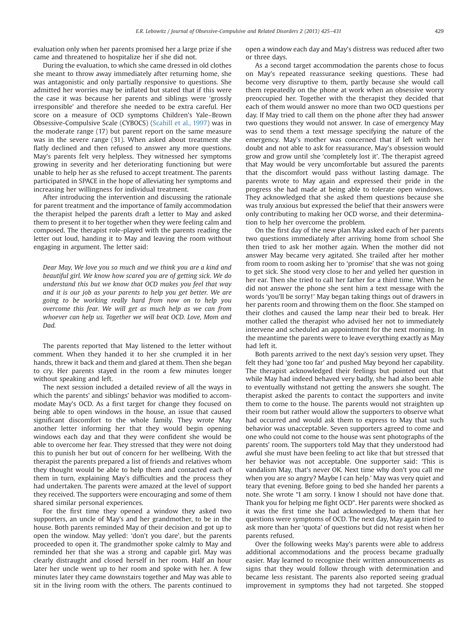evaluation only when her parents promised her a large prize if she came and threatened to hospitalize her if she did not.

During the evaluation, to which she came dressed in old clothes she meant to throw away immediately after returning home, she was antagonistic and only partially responsive to questions. She admitted her worries may be inflated but stated that if this were the case it was because her parents and siblings were 'grossly irresponsible' and therefore she needed to be extra careful. Her score on a measure of OCD symptoms Children's Yale–Brown Obsessive-Compulsive Scale (CYBOCS) ([Scahill et al., 1997\)](#page-6-0) was in the moderate range (17) but parent report on the same measure was in the severe range (31). When asked about treatment she flatly declined and then refused to answer any more questions. May's parents felt very helpless. They witnessed her symptoms growing in severity and her deteriorating functioning but were unable to help her as she refused to accept treatment. The parents participated in SPACE in the hope of alleviating her symptoms and increasing her willingness for individual treatment.

After introducing the intervention and discussing the rationale for parent treatment and the importance of family accommodation the therapist helped the parents draft a letter to May and asked them to present it to her together when they were feeling calm and composed. The therapist role-played with the parents reading the letter out loud, handing it to May and leaving the room without engaging in argument. The letter said:

Dear May, We love you so much and we think you are a kind and beautiful girl. We know how scared you are of getting sick. We do understand this but we know that OCD makes you feel that way and it is our job as your parents to help you get better. We are going to be working really hard from now on to help you overcome this fear. We will get as much help as we can from whoever can help us. Together we will beat OCD. Love, Mom and Dad.

The parents reported that May listened to the letter without comment. When they handed it to her she crumpled it in her hands, threw it back and them and glared at them. Then she began to cry. Her parents stayed in the room a few minutes longer without speaking and left.

The next session included a detailed review of all the ways in which the parents' and siblings' behavior was modified to accommodate May's OCD. As a first target for change they focused on being able to open windows in the house, an issue that caused significant discomfort to the whole family. They wrote May another letter informing her that they would begin opening windows each day and that they were confident she would be able to overcome her fear. They stressed that they were not doing this to punish her but out of concern for her wellbeing. With the therapist the parents prepared a list of friends and relatives whom they thought would be able to help them and contacted each of them in turn, explaining May's difficulties and the process they had undertaken. The parents were amazed at the level of support they received. The supporters were encouraging and some of them shared similar personal experiences.

For the first time they opened a window they asked two supporters, an uncle of May's and her grandmother, to be in the house. Both parents reminded May of their decision and got up to open the window. May yelled: 'don't you dare', but the parents proceeded to open it. The grandmother spoke calmly to May and reminded her that she was a strong and capable girl. May was clearly distraught and closed herself in her room. Half an hour later her uncle went up to her room and spoke with her. A few minutes later they came downstairs together and May was able to sit in the living room with the others. The parents continued to open a window each day and May's distress was reduced after two or three days.

As a second target accommodation the parents chose to focus on May's repeated reassurance seeking questions. These had become very disruptive to them, partly because she would call them repeatedly on the phone at work when an obsessive worry preoccupied her. Together with the therapist they decided that each of them would answer no more than two OCD questions per day. If May tried to call them on the phone after they had answer two questions they would not answer. In case of emergency May was to send them a text message specifying the nature of the emergency. May's mother was concerned that if left with her doubt and not able to ask for reassurance, May's obsession would grow and grow until she 'completely lost it'. The therapist agreed that May would be very uncomfortable but assured the parents that the discomfort would pass without lasting damage. The parents wrote to May again and expressed their pride in the progress she had made at being able to tolerate open windows. They acknowledged that she asked them questions because she was truly anxious but expressed the belief that their answers were only contributing to making her OCD worse, and their determination to help her overcome the problem.

On the first day of the new plan May asked each of her parents two questions immediately after arriving home from school She then tried to ask her mother again. When the mother did not answer May became very agitated. She trailed after her mother from room to room asking her to 'promise' that she was not going to get sick. She stood very close to her and yelled her question in her ear. Then she tried to call her father for a third time. When he did not answer the phone she sent him a text message with the words 'you'll be sorry!' May began taking things out of drawers in her parents room and throwing them on the floor. She stamped on their clothes and caused the lamp near their bed to break. Her mother called the therapist who advised her not to immediately intervene and scheduled an appointment for the next morning. In the meantime the parents were to leave everything exactly as May had left it.

Both parents arrived to the next day's session very upset. They felt they had 'gone too far' and pushed May beyond her capability. The therapist acknowledged their feelings but pointed out that while May had indeed behaved very badly, she had also been able to eventually withstand not getting the answers she sought. The therapist asked the parents to contact the supporters and invite them to come to the house. The parents would not straighten up their room but rather would allow the supporters to observe what had occurred and would ask them to express to May that such behavior was unacceptable. Seven supporters agreed to come and one who could not come to the house was sent photographs of the parents' room. The supporters told May that they understood had awful she must have been feeling to act like that but stressed that her behavior was not acceptable. One supporter said: 'This is vandalism May, that's never OK. Next time why don't you call me when you are so angry? Maybe I can help.' May was very quiet and teary that evening. Before going to bed she handed her parents a note. She wrote "I am sorry. I know I should not have done that. Thank you for helping me fight OCD". Her parents were shocked as it was the first time she had acknowledged to them that her questions were symptoms of OCD. The next day, May again tried to ask more than her 'quota' of questions but did not resist when her parents refused.

Over the following weeks May's parents were able to address additional accommodations and the process became gradually easier. May learned to recognize their written announcements as signs that they would follow through with determination and became less resistant. The parents also reported seeing gradual improvement in symptoms they had not targeted. She stopped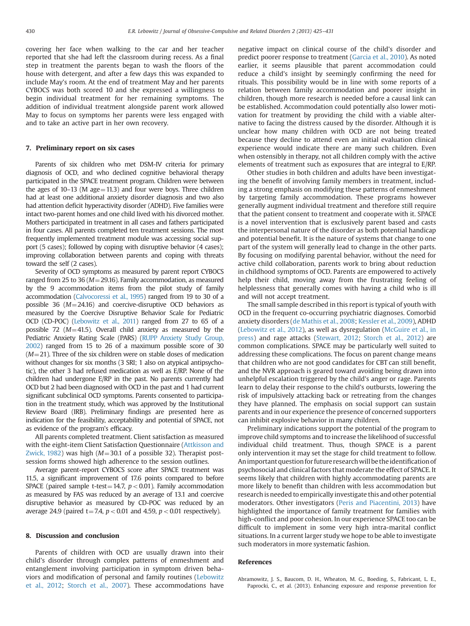<span id="page-5-0"></span>covering her face when walking to the car and her teacher reported that she had left the classroom during recess. As a final step in treatment the parents began to wash the floors of the house with detergent, and after a few days this was expanded to include May's room. At the end of treatment May and her parents CYBOCS was both scored 10 and she expressed a willingness to begin individual treatment for her remaining symptoms. The addition of individual treatment alongside parent work allowed May to focus on symptoms her parents were less engaged with and to take an active part in her own recovery.

## 7. Preliminary report on six cases

Parents of six children who met DSM-IV criteria for primary diagnosis of OCD, and who declined cognitive behavioral therapy participated in the SPACE treatment program. Children were between the ages of  $10-13$  (M age  $= 11.3$ ) and four were boys. Three children had at least one additional anxiety disorder diagnosis and two also had attention deficit hyperactivity disorder (ADHD). Five families were intact two-parent homes and one child lived with his divorced mother. Mothers participated in treatment in all cases and fathers participated in four cases. All parents completed ten treatment sessions. The most frequently implemented treatment module was accessing social support (5 cases); followed by coping with disruptive behavior (4 cases); improving collaboration between parents and coping with threats toward the self (2 cases).

Severity of OCD symptoms as measured by parent report CYBOCS ranged from 25 to 36 ( $M = 29.16$ ). Family accommodation, as measured by the 9 accommodation items from the pilot study of family accommodation [\(Calvocoressi et al., 1995\)](#page-6-0) ranged from 19 to 30 of a possible 36  $(M=24.16)$  and coercive-disruptive OCD behaviors as measured by the Coercive Disruptive Behavior Scale for Pediatric OCD (CD-POC) [\(Lebowitz et al., 2011](#page-6-0)) ranged from 27 to 65 of a possible 72 ( $M=41.5$ ). Overall child anxiety as measured by the Pediatric Anxiety Rating Scale (PARS) [\(RUPP Anxiety Study Group,](#page-6-0) [2002\)](#page-6-0) ranged from 15 to 26 of a maximum possible score of 30  $(M=21)$ . Three of the six children were on stable doses of medication without changes for six months (3 SRI; 1 also on atypical antipsychotic), the other 3 had refused medication as well as E/RP. None of the children had undergone E/RP in the past. No parents currently had OCD but 2 had been diagnosed with OCD in the past and 1 had current significant subclinical OCD symptoms. Parents consented to participation in the treatment study, which was approved by the Institutional Review Board (IRB). Preliminary findings are presented here as indication for the feasibility, acceptability and potential of SPACE, not as evidence of the program's efficacy.

All parents completed treatment. Client satisfaction as measured with the eight-item Client Satisfaction Questionnaire [\(Attkisson and](#page-6-0) [Zwick, 1982\)](#page-6-0) was high  $(M=30.1 \text{ of a possible 32})$ . Therapist postsession forms showed high adherence to the session outlines.

Average parent-report CYBOCS score after SPACE treatment was 11.5, a significant improvement of 17.6 points compared to before SPACE (paired sample t-test = 14.7,  $p < 0.01$ ). Family accommodation as measured by FAS was reduced by an average of 13.1 and coercive disruptive behavior as measured by CD-POC was reduced by an average 24.9 (paired  $t = 7.4$ ,  $p < 0.01$  and 4.59,  $p < 0.01$  respectively).

## 8. Discussion and conclusion

Parents of children with OCD are usually drawn into their child's disorder through complex patterns of enmeshment and entanglement involving participation in symptom driven behaviors and modification of personal and family routines ([Lebowitz](#page-6-0) [et al., 2012](#page-6-0); [Storch et al., 2007\)](#page-6-0). These accommodations have negative impact on clinical course of the child's disorder and predict poorer response to treatment [\(Garcia et al., 2010\)](#page-6-0). As noted earlier, it seems plausible that parent accommodation could reduce a child's insight by seemingly confirming the need for rituals. This possibility would be in line with some reports of a relation between family accommodation and poorer insight in children, though more research is needed before a causal link can be established. Accommodation could potentially also lower motivation for treatment by providing the child with a viable alternative to facing the distress caused by the disorder. Although it is unclear how many children with OCD are not being treated because they decline to attend even an initial evaluation clinical experience would indicate there are many such children. Even when ostensibly in therapy, not all children comply with the active elements of treatment such as exposures that are integral to E/RP.

Other studies in both children and adults have been investigating the benefit of involving family members in treatment, including a strong emphasis on modifying these patterns of enmeshment by targeting family accommodation. These programs however generally augment individual treatment and therefore still require that the patient consent to treatment and cooperate with it. SPACE is a novel intervention that is exclusively parent based and casts the interpersonal nature of the disorder as both potential handicap and potential benefit. It is the nature of systems that change to one part of the system will generally lead to change in the other parts. By focusing on modifying parental behavior, without the need for active child collaboration, parents work to bring about reduction in childhood symptoms of OCD. Parents are empowered to actively help their child, moving away from the frustrating feeling of helplessness that generally comes with having a child who is ill and will not accept treatment.

The small sample described in this report is typical of youth with OCD in the frequent co-occurring psychiatric diagnoses. Comorbid anxiety disorders [\(de Mathis et al., 2008;](#page-6-0) [Kessler et al., 2009\)](#page-6-0), ADHD ([Lebowitz et al., 2012\)](#page-6-0), as well as dysregulation [\(McGuire et al., in](#page-6-0) [press](#page-6-0)) and rage attacks [\(Stewart, 2012](#page-6-0); [Storch et al., 2012\)](#page-6-0) are common complications. SPACE may be particularly well suited to addressing these complications. The focus on parent change means that children who are not good candidates for CBT can still benefit, and the NVR approach is geared toward avoiding being drawn into unhelpful escalation triggered by the child's anger or rage. Parents learn to delay their response to the child's outbursts, lowering the risk of impulsively attacking back or retreating from the changes they have planned. The emphasis on social support can sustain parents and in our experience the presence of concerned supporters can inhibit explosive behavior in many children.

Preliminary indications support the potential of the program to improve child symptoms and to increase the likelihood of successful individual child treatment. Thus, though SPACE is a parent only intervention it may set the stage for child treatment to follow. An important question for future research will be the identification of psychosocial and clinical factors that moderate the effect of SPACE. It seems likely that children with highly accommodating parents are more likely to benefit than children with less accommodation but research is needed to empirically investigate this and other potential moderators. Other investigators ([Peris and Piacentini, 2013\)](#page-6-0) have highlighted the importance of family treatment for families with high-conflict and poor cohesion. In our experience SPACE too can be difficult to implement in some very high intra-marital conflict situations. In a current larger study we hope to be able to investigate such moderators in more systematic fashion.

## References

Abramowitz, J. S., Baucom, D. H., Wheaton, M. G., Boeding, S., Fabricant, L. E., Paprocki, C., et al. (2013). Enhancing exposure and response prevention for